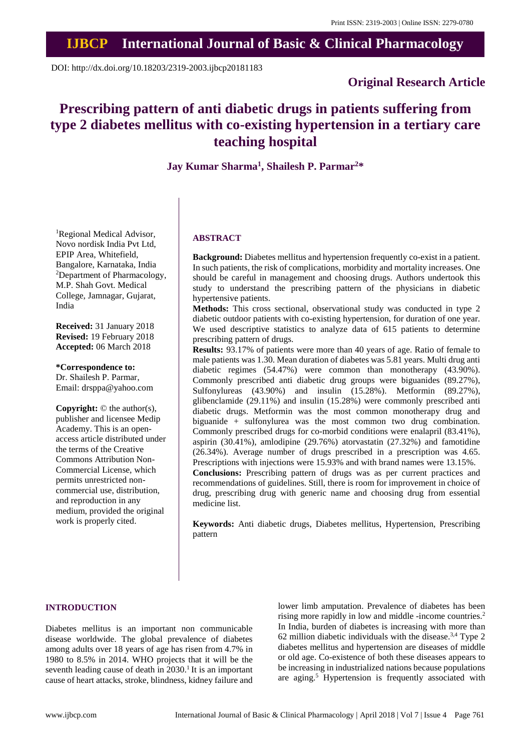## **IJBCP International Journal of Basic & Clinical Pharmacology**

DOI: http://dx.doi.org/10.18203/2319-2003.ijbcp20181183

## **Original Research Article**

# **Prescribing pattern of anti diabetic drugs in patients suffering from type 2 diabetes mellitus with co-existing hypertension in a tertiary care teaching hospital**

### **Jay Kumar Sharma<sup>1</sup> , Shailesh P. Parmar<sup>2</sup>\***

<sup>1</sup>Regional Medical Advisor, Novo nordisk India Pvt Ltd, EPIP Area, Whitefield, Bangalore, Karnataka, India <sup>2</sup>Department of Pharmacology, M.P. Shah Govt. Medical College, Jamnagar, Gujarat, India

**Received:** 31 January 2018 **Revised:** 19 February 2018 **Accepted:** 06 March 2018

**\*Correspondence to:** Dr. Shailesh P. Parmar, Email: drsppa@yahoo.com

**Copyright:** © the author(s), publisher and licensee Medip Academy. This is an openaccess article distributed under the terms of the Creative Commons Attribution Non-Commercial License, which permits unrestricted noncommercial use, distribution, and reproduction in any medium, provided the original work is properly cited.

#### **ABSTRACT**

**Background:** Diabetes mellitus and hypertension frequently co-exist in a patient. In such patients, the risk of complications, morbidity and mortality increases. One should be careful in management and choosing drugs. Authors undertook this study to understand the prescribing pattern of the physicians in diabetic hypertensive patients.

**Methods:** This cross sectional, observational study was conducted in type 2 diabetic outdoor patients with co-existing hypertension, for duration of one year. We used descriptive statistics to analyze data of 615 patients to determine prescribing pattern of drugs.

**Results:** 93.17% of patients were more than 40 years of age. Ratio of female to male patients was 1.30. Mean duration of diabetes was 5.81 years. Multi drug anti diabetic regimes (54.47%) were common than monotherapy (43.90%). Commonly prescribed anti diabetic drug groups were biguanides (89.27%), Sulfonylureas (43.90%) and insulin (15.28%). Metformin (89.27%), glibenclamide (29.11%) and insulin (15.28%) were commonly prescribed anti diabetic drugs. Metformin was the most common monotherapy drug and biguanide + sulfonylurea was the most common two drug combination. Commonly prescribed drugs for co-morbid conditions were enalapril (83.41%), aspirin (30.41%), amlodipine (29.76%) atorvastatin (27.32%) and famotidine (26.34%). Average number of drugs prescribed in a prescription was 4.65. Prescriptions with injections were 15.93% and with brand names were 13.15%. **Conclusions:** Prescribing pattern of drugs was as per current practices and recommendations of guidelines. Still, there is room for improvement in choice of drug, prescribing drug with generic name and choosing drug from essential medicine list.

**Keywords:** Anti diabetic drugs, Diabetes mellitus, Hypertension, Prescribing pattern

#### **INTRODUCTION**

Diabetes mellitus is an important non communicable disease worldwide. The global prevalence of diabetes among adults over 18 years of age has risen from 4.7% in 1980 to 8.5% in 2014. WHO projects that it will be the seventh leading cause of death in 2030.<sup>1</sup> It is an important cause of heart attacks, stroke, blindness, kidney failure and lower limb amputation. Prevalence of diabetes has been rising more rapidly in low and middle -income countries.<sup>2</sup> In India, burden of diabetes is increasing with more than 62 million diabetic individuals with the disease. $3,4$  Type 2 diabetes mellitus and hypertension are diseases of middle or old age. Co-existence of both these diseases appears to be increasing in industrialized nations because populations are aging.<sup>5</sup> Hypertension is frequently associated with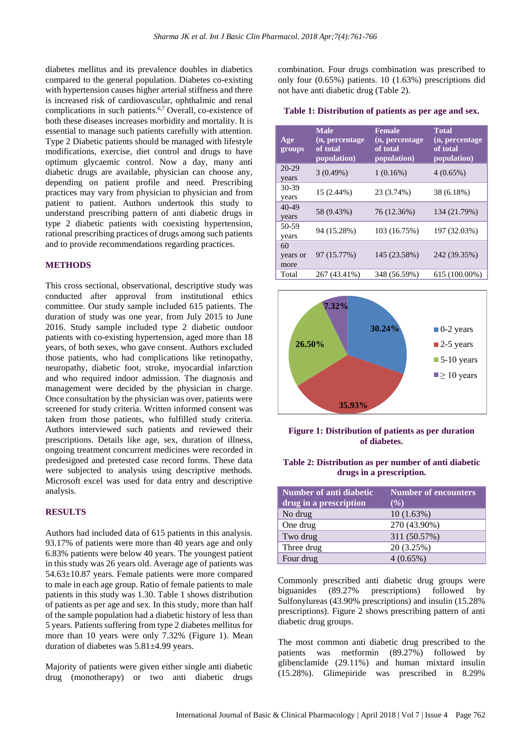diabetes mellitus and its prevalence doubles in diabetics compared to the general population. Diabetes co-existing with hypertension causes higher arterial stiffness and there is increased risk of cardiovascular, ophthalmic and renal complications in such patients.<sup>6,7</sup> Overall, co-existence of both these diseases increases morbidity and mortality. It is essential to manage such patients carefully with attention. Type 2 Diabetic patients should be managed with lifestyle modifications, exercise, diet control and drugs to have optimum glycaemic control. Now a day, many anti diabetic drugs are available, physician can choose any, depending on patient profile and need. Prescribing practices may vary from physician to physician and from patient to patient. Authors undertook this study to understand prescribing pattern of anti diabetic drugs in type 2 diabetic patients with coexisting hypertension, rational prescribing practices of drugs among such patients and to provide recommendations regarding practices.

#### **METHODS**

This cross sectional, observational, descriptive study was conducted after approval from institutional ethics committee. Our study sample included 615 patients. The duration of study was one year, from July 2015 to June 2016. Study sample included type 2 diabetic outdoor patients with co-existing hypertension, aged more than 18 years, of both sexes, who gave consent. Authors excluded those patients, who had complications like retinopathy, neuropathy, diabetic foot, stroke, myocardial infarction and who required indoor admission. The diagnosis and management were decided by the physician in charge. Once consultation by the physician was over, patients were screened for study criteria. Written informed consent was taken from those patients, who fulfilled study criteria. Authors interviewed such patients and reviewed their prescriptions. Details like age, sex, duration of illness, ongoing treatment concurrent medicines were recorded in predesigned and pretested case record forms. These data were subjected to analysis using descriptive methods. Microsoft excel was used for data entry and descriptive analysis.

#### **RESULTS**

Authors had included data of 615 patients in this analysis. 93.17% of patients were more than 40 years age and only 6.83% patients were below 40 years. The youngest patient in this study was 26 years old. Average age of patients was 54.63±10.87 years. Female patients were more compared to male in each age group. Ratio of female patients to male patients in this study was 1.30. Table 1 shows distribution of patients as per age and sex. In this study, more than half of the sample population had a diabetic history of less than 5 years. Patients suffering from type 2 diabetes mellitus for more than 10 years were only 7.32% (Figure 1). Mean duration of diabetes was 5.81±4.99 years.

Majority of patients were given either single anti diabetic drug (monotherapy) or two anti diabetic drugs combination. Four drugs combination was prescribed to only four (0.65%) patients. 10 (1.63%) prescriptions did not have anti diabetic drug (Table 2).

| Table 1: Distribution of patients as per age and sex. |  |  |  |  |  |  |  |
|-------------------------------------------------------|--|--|--|--|--|--|--|
|-------------------------------------------------------|--|--|--|--|--|--|--|

| Age<br>groups          | <b>Male</b><br>(n, percentage<br>of total<br>population) | <b>Female</b><br>(n, percentage)<br>of total<br>population) | <b>Total</b><br>(n, percentage<br>of total<br>population) |
|------------------------|----------------------------------------------------------|-------------------------------------------------------------|-----------------------------------------------------------|
| 20-29<br>years         | 3(0.49%)                                                 | $1(0.16\%)$                                                 | $4(0.65\%)$                                               |
| $30 - 39$<br>years     | 15 (2.44%)                                               | 23 (3.74%)                                                  | 38 (6.18%)                                                |
| 40-49<br>years         | 58 (9.43%)                                               | 76 (12.36%)                                                 | 134 (21.79%)                                              |
| 50-59<br>years         | 94 (15.28%)                                              | 103 (16.75%)                                                | 197 (32.03%)                                              |
| 60<br>years or<br>more | 97 (15.77%)                                              | 145 (23.58%)                                                | 242 (39.35%)                                              |
| Total                  | 267 (43.41%)                                             | 348 (56.59%)                                                | 615 (100.00%)                                             |



**Figure 1: Distribution of patients as per duration of diabetes.**

| Table 2: Distribution as per number of anti-diabetic |  |
|------------------------------------------------------|--|
| drugs in a prescription.                             |  |

| Number of anti diabetic<br>drug in a prescription | <b>Number of encounters</b><br>( %) |
|---------------------------------------------------|-------------------------------------|
| No drug                                           | 10(1.63%)                           |
| One drug                                          | 270 (43.90%)                        |
| Two drug                                          | 311 (50.57%)                        |
| Three drug                                        | 20 (3.25%)                          |
| Four drug                                         | 4(0.65%)                            |

Commonly prescribed anti diabetic drug groups were biguanides (89.27% prescriptions) followed by Sulfonylureas (43.90% prescriptions) and insulin (15.28% prescriptions). Figure 2 shows prescribing pattern of anti diabetic drug groups.

The most common anti diabetic drug prescribed to the patients was metformin (89.27%) followed by glibenclamide (29.11%) and human mixtard insulin (15.28%). Glimepiride was prescribed in 8.29%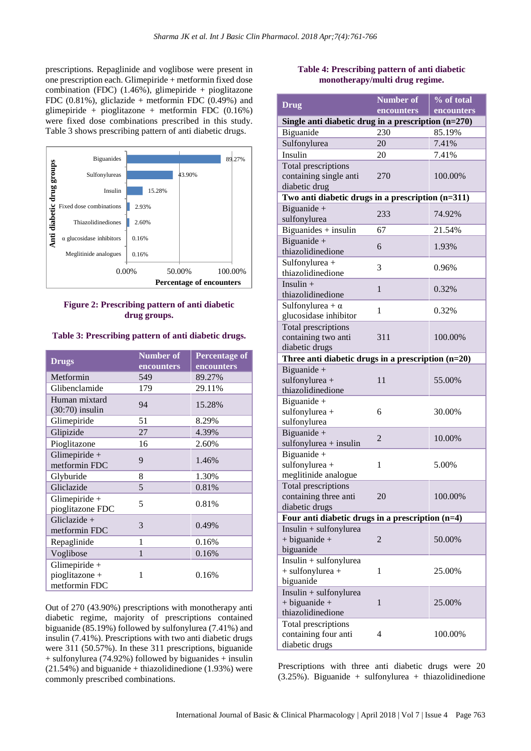prescriptions. Repaglinide and voglibose were present in one prescription each. Glimepiride + metformin fixed dose combination (FDC)  $(1.46\%)$ , glimepiride + pioglitazone FDC  $(0.81\%)$ , gliclazide + metformin FDC  $(0.49\%)$  and glimepiride + pioglitazone + metformin FDC (0.16%) were fixed dose combinations prescribed in this study. Table 3 shows prescribing pattern of anti diabetic drugs.



#### **Figure 2: Prescribing pattern of anti diabetic drug groups.**

**Table 3: Prescribing pattern of anti diabetic drugs.**

| <b>Drugs</b>                                       | <b>Number of</b><br>encounters | <b>Percentage of</b><br>encounters |
|----------------------------------------------------|--------------------------------|------------------------------------|
| Metformin                                          | 549                            | 89.27%                             |
| Glibenclamide                                      | 179                            | 29.11%                             |
| Human mixtard<br>$(30:70)$ insulin                 | 94                             | 15.28%                             |
| Glimepiride                                        | 51                             | 8.29%                              |
| Glipizide                                          | 27                             | 4.39%                              |
| Pioglitazone                                       | 16                             | 2.60%                              |
| Glimepiride +<br>metformin FDC                     | 9                              | 1.46%                              |
| Glyburide                                          | 8                              | 1.30%                              |
| Gliclazide                                         | 5                              | 0.81%                              |
| Glimepiride $+$<br>pioglitazone FDC                | 5                              | 0.81%                              |
| Gliclazide +<br>metformin FDC                      | 3                              | 0.49%                              |
| Repaglinide                                        | 1                              | 0.16%                              |
| Voglibose                                          | 1                              | 0.16%                              |
| Glimepiride $+$<br>pioglitazone +<br>metformin FDC | 1                              | 0.16%                              |

Out of 270 (43.90%) prescriptions with monotherapy anti diabetic regime, majority of prescriptions contained biguanide (85.19%) followed by sulfonylurea (7.41%) and insulin (7.41%). Prescriptions with two anti diabetic drugs were 311 (50.57%). In these 311 prescriptions, biguanide + sulfonylurea (74.92%) followed by biguanides + insulin  $(21.54%)$  and biguanide + thiazolidinedione  $(1.93%)$  were commonly prescribed combinations.

#### **Table 4: Prescribing pattern of anti diabetic monotherapy/multi drug regime.**

| <b>Drug</b>                                                      | <b>Number of</b> | % of total |  |  |
|------------------------------------------------------------------|------------------|------------|--|--|
|                                                                  | encounters       | encounters |  |  |
| Single anti diabetic drug in a prescription $(n=270)$            |                  |            |  |  |
| Biguanide                                                        | 230              | 85.19%     |  |  |
| Sulfonylurea                                                     | 20               | 7.41%      |  |  |
| Insulin                                                          | 20               | 7.41%      |  |  |
| Total prescriptions<br>containing single anti<br>diabetic drug   | 270              | 100.00%    |  |  |
| Two anti diabetic drugs in a prescription (n=311)                |                  |            |  |  |
| Biguanide +                                                      | 233              | 74.92%     |  |  |
| sulfonylurea<br>$Bigu$ and $es + insulin$                        | 67               | 21.54%     |  |  |
|                                                                  |                  |            |  |  |
| Biguanide +<br>thiazolidinedione                                 | 6                | 1.93%      |  |  |
| Sulfonylurea +<br>thiazolidinedione                              | 3                | 0.96%      |  |  |
| Insulin $+$<br>thiazolidinedione                                 | 1                | 0.32%      |  |  |
| Sulfonylurea + $\alpha$<br>glucosidase inhibitor                 | 1                | 0.32%      |  |  |
| Total prescriptions<br>containing two anti<br>diabetic drugs     | 311              | 100.00%    |  |  |
| Three anti diabetic drugs in a prescription $(n=20)$             |                  |            |  |  |
| Biguanide +<br>sulfonylurea +<br>thiazolidinedione               | 11               | 55.00%     |  |  |
| Biguanide +<br>sulfonylurea +<br>sulfonylurea                    | 6                | 30.00%     |  |  |
| Biguanide +<br>$sulfonylurea + insulin$                          | 2                | 10.00%     |  |  |
| Biguanide +<br>sulfonylurea +<br>meglitinide analogue            | 1                | 5.00%      |  |  |
| Total prescriptions<br>containing three anti<br>diabetic drugs   | 20               | 100.00%    |  |  |
| Four anti diabetic drugs in a prescription (n=4)                 |                  |            |  |  |
| Insulin + sulfonylurea<br>$+$ biguanide $+$<br>biguanide         | $\overline{c}$   | 50.00%     |  |  |
| $Insulin + sulfonylurea$<br>$+$ sulfonylurea $+$<br>biguanide    | 1                | 25.00%     |  |  |
| Insulin + sulfonylurea<br>$+$ biguanide $+$<br>thiazolidinedione | $\mathbf{1}$     | 25.00%     |  |  |
| Total prescriptions<br>containing four anti<br>diabetic drugs    | 4                | 100.00%    |  |  |

Prescriptions with three anti diabetic drugs were 20 (3.25%). Biguanide + sulfonylurea + thiazolidinedione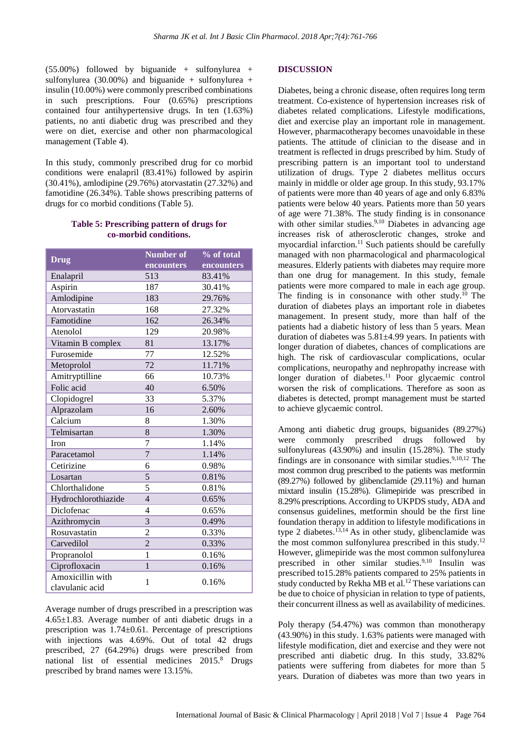$(55.00\%)$  followed by biguanide + sulfonylurea + sulfonylurea (30.00%) and biguanide + sulfonylurea + insulin (10.00%) were commonly prescribed combinations in such prescriptions. Four (0.65%) prescriptions contained four antihypertensive drugs. In ten (1.63%) patients, no anti diabetic drug was prescribed and they were on diet, exercise and other non pharmacological management (Table 4).

In this study, commonly prescribed drug for co morbid conditions were enalapril (83.41%) followed by aspirin (30.41%), amlodipine (29.76%) atorvastatin (27.32%) and famotidine (26.34%). Table shows prescribing patterns of drugs for co morbid conditions (Table 5).

#### **Table 5: Prescribing pattern of drugs for co-morbid conditions.**

| <b>Drug</b>                         | Number of      | % of total |  |  |
|-------------------------------------|----------------|------------|--|--|
|                                     | encounters     | encounters |  |  |
| Enalapril                           | 513            | 83.41%     |  |  |
| Aspirin                             | 187            | 30.41%     |  |  |
| Amlodipine                          | 183            | 29.76%     |  |  |
| Atorvastatin                        | 168            | 27.32%     |  |  |
| Famotidine                          | 162            | 26.34%     |  |  |
| Atenolol                            | 129            | 20.98%     |  |  |
| Vitamin B complex                   | 81             | 13.17%     |  |  |
| Furosemide                          | 77             | 12.52%     |  |  |
| Metoprolol                          | 72             | 11.71%     |  |  |
| Amitryptilline                      | 66             | 10.73%     |  |  |
| Folic acid                          | 40             | 6.50%      |  |  |
| Clopidogrel                         | 33             | 5.37%      |  |  |
| Alprazolam                          | 16             | 2.60%      |  |  |
| Calcium                             | 8              | 1.30%      |  |  |
| Telmisartan                         | 8              | 1.30%      |  |  |
| Iron                                | 7              | 1.14%      |  |  |
| Paracetamol                         | $\overline{7}$ | 1.14%      |  |  |
| Cetirizine                          | 6              | 0.98%      |  |  |
| Losartan                            | 5              | 0.81%      |  |  |
| Chlorthalidone                      | 5              | 0.81%      |  |  |
| Hydrochlorothiazide                 | $\overline{4}$ | 0.65%      |  |  |
| Diclofenac                          | 4              | 0.65%      |  |  |
| Azithromycin                        | 3              | 0.49%      |  |  |
| Rosuvastatin                        | $\overline{2}$ | 0.33%      |  |  |
| Carvedilol                          | $\overline{2}$ | 0.33%      |  |  |
| Propranolol                         | $\mathbf{1}$   | 0.16%      |  |  |
| Ciprofloxacin                       | $\mathbf{1}$   | 0.16%      |  |  |
| Amoxicillin with<br>clavulanic acid | 1              | 0.16%      |  |  |

Average number of drugs prescribed in a prescription was 4.65±1.83. Average number of anti diabetic drugs in a prescription was 1.74±0.61. Percentage of prescriptions with injections was 4.69%. Out of total 42 drugs prescribed, 27 (64.29%) drugs were prescribed from national list of essential medicines 2015.<sup>8</sup> Drugs prescribed by brand names were 13.15%.

#### **DISCUSSION**

Diabetes, being a chronic disease, often requires long term treatment. Co-existence of hypertension increases risk of diabetes related complications. Lifestyle modifications, diet and exercise play an important role in management. However, pharmacotherapy becomes unavoidable in these patients. The attitude of clinician to the disease and in treatment is reflected in drugs prescribed by him. Study of prescribing pattern is an important tool to understand utilization of drugs. Type 2 diabetes mellitus occurs mainly in middle or older age group. In this study, 93.17% of patients were more than 40 years of age and only 6.83% patients were below 40 years. Patients more than 50 years of age were 71.38%. The study finding is in consonance with other similar studies.<sup>9,10</sup> Diabetes in advancing age increases risk of atherosclerotic changes, stroke and myocardial infarction.<sup>11</sup> Such patients should be carefully managed with non pharmacological and pharmacological measures. Elderly patients with diabetes may require more than one drug for management. In this study, female patients were more compared to male in each age group. The finding is in consonance with other study.<sup>10</sup> The duration of diabetes plays an important role in diabetes management. In present study, more than half of the patients had a diabetic history of less than 5 years. Mean duration of diabetes was 5.81±4.99 years. In patients with longer duration of diabetes, chances of complications are high. The risk of cardiovascular complications, ocular complications, neuropathy and nephropathy increase with longer duration of diabetes.<sup>11</sup> Poor glycaemic control worsen the risk of complications. Therefore as soon as diabetes is detected, prompt management must be started to achieve glycaemic control.

Among anti diabetic drug groups, biguanides (89.27%) were commonly prescribed drugs followed by sulfonylureas (43.90%) and insulin (15.28%). The study findings are in consonance with similar studies. $9,10,12$  The most common drug prescribed to the patients was metformin (89.27%) followed by glibenclamide (29.11%) and human mixtard insulin (15.28%). Glimepiride was prescribed in 8.29% prescriptions. According to UKPDS study, ADA and consensus guidelines, metformin should be the first line foundation therapy in addition to lifestyle modifications in type 2 diabetes. 13,14 As in other study, glibenclamide was the most common sulfonylurea prescribed in this study.<sup>12</sup> However, glimepiride was the most common sulfonylurea prescribed in other similar studies.9,10 Insulin was prescribed to15.28% patients compared to 25% patients in study conducted by Rekha MB et al.<sup>12</sup> These variations can be due to choice of physician in relation to type of patients, their concurrent illness as well as availability of medicines.

Poly therapy (54.47%) was common than monotherapy (43.90%) in this study. 1.63% patients were managed with lifestyle modification, diet and exercise and they were not prescribed anti diabetic drug. In this study, 33.82% patients were suffering from diabetes for more than 5 years. Duration of diabetes was more than two years in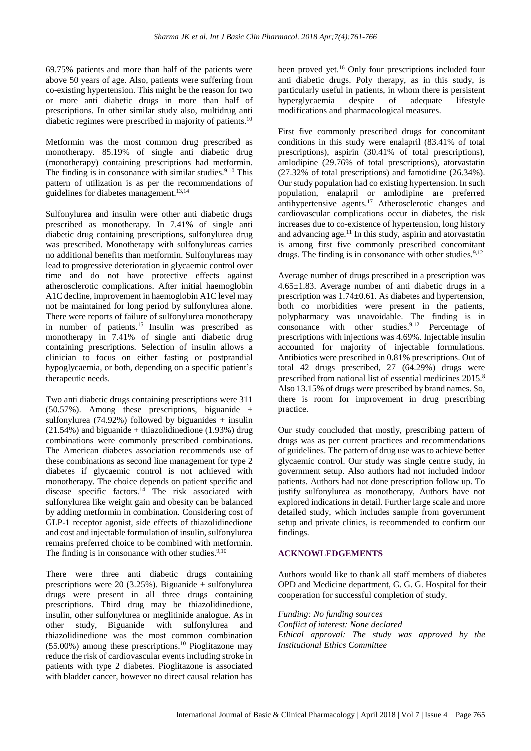69.75% patients and more than half of the patients were above 50 years of age. Also, patients were suffering from co-existing hypertension. This might be the reason for two or more anti diabetic drugs in more than half of prescriptions. In other similar study also, multidrug anti diabetic regimes were prescribed in majority of patients.<sup>10</sup>

Metformin was the most common drug prescribed as monotherapy. 85.19% of single anti diabetic drug (monotherapy) containing prescriptions had metformin. The finding is in consonance with similar studies. $9,10$  This pattern of utilization is as per the recommendations of guidelines for diabetes management.13,14

Sulfonylurea and insulin were other anti diabetic drugs prescribed as monotherapy. In 7.41% of single anti diabetic drug containing prescriptions, sulfonylurea drug was prescribed. Monotherapy with sulfonylureas carries no additional benefits than metformin. Sulfonylureas may lead to progressive deterioration in glycaemic control over time and do not have protective effects against atherosclerotic complications. After initial haemoglobin A1C decline, improvement in haemoglobin A1C level may not be maintained for long period by sulfonylurea alone. There were reports of failure of sulfonylurea monotherapy in number of patients.<sup>15</sup> Insulin was prescribed as monotherapy in 7.41% of single anti diabetic drug containing prescriptions. Selection of insulin allows a clinician to focus on either fasting or postprandial hypoglycaemia, or both, depending on a specific patient's therapeutic needs.

Two anti diabetic drugs containing prescriptions were 311 (50.57%). Among these prescriptions, biguanide + sulfonylurea (74.92%) followed by biguanides  $+$  insulin  $(21.54%)$  and biguanide + thiazolidinedione  $(1.93%)$  drug combinations were commonly prescribed combinations. The American diabetes association recommends use of these combinations as second line management for type 2 diabetes if glycaemic control is not achieved with monotherapy. The choice depends on patient specific and disease specific factors.<sup>14</sup> The risk associated with sulfonylurea like weight gain and obesity can be balanced by adding metformin in combination. Considering cost of GLP-1 receptor agonist, side effects of thiazolidinedione and cost and injectable formulation of insulin, sulfonylurea remains preferred choice to be combined with metformin. The finding is in consonance with other studies. $9,10$ 

There were three anti diabetic drugs containing prescriptions were 20 (3.25%). Biguanide + sulfonylurea drugs were present in all three drugs containing prescriptions. Third drug may be thiazolidinedione, insulin, other sulfonylurea or meglitinide analogue. As in other study, Biguanide with sulfonylurea and thiazolidinedione was the most common combination  $(55.00\%)$  among these prescriptions.<sup>10</sup> Pioglitazone may reduce the risk of cardiovascular events including stroke in patients with type 2 diabetes. Pioglitazone is associated with bladder cancer, however no direct causal relation has

been proved yet.<sup>16</sup> Only four prescriptions included four anti diabetic drugs. Poly therapy, as in this study, is particularly useful in patients, in whom there is persistent hyperglycaemia despite of adequate lifestyle modifications and pharmacological measures.

First five commonly prescribed drugs for concomitant conditions in this study were enalapril (83.41% of total prescriptions), aspirin (30.41% of total prescriptions), amlodipine (29.76% of total prescriptions), atorvastatin (27.32% of total prescriptions) and famotidine (26.34%). Our study population had co existing hypertension. In such population, enalapril or amlodipine are preferred antihypertensive agents.<sup>17</sup> Atherosclerotic changes and cardiovascular complications occur in diabetes, the risk increases due to co-existence of hypertension, long history and advancing age.<sup>11</sup> In this study, aspirin and atorvastatin is among first five commonly prescribed concomitant drugs. The finding is in consonance with other studies*.* 9,12

Average number of drugs prescribed in a prescription was 4.65±1.83. Average number of anti diabetic drugs in a prescription was 1.74±0.61. As diabetes and hypertension, both co morbidities were present in the patients, polypharmacy was unavoidable. The finding is in consonance with other studies. $9,12$  Percentage of prescriptions with injections was 4.69%. Injectable insulin accounted for majority of injectable formulations. Antibiotics were prescribed in 0.81% prescriptions. Out of total 42 drugs prescribed, 27 (64.29%) drugs were prescribed from national list of essential medicines 2015.<sup>8</sup> Also 13.15% of drugs were prescribed by brand names. So, there is room for improvement in drug prescribing practice.

Our study concluded that mostly, prescribing pattern of drugs was as per current practices and recommendations of guidelines. The pattern of drug use was to achieve better glycaemic control. Our study was single centre study, in government setup. Also authors had not included indoor patients. Authors had not done prescription follow up. To justify sulfonylurea as monotherapy, Authors have not explored indications in detail. Further large scale and more detailed study, which includes sample from government setup and private clinics, is recommended to confirm our findings.

#### **ACKNOWLEDGEMENTS**

Authors would like to thank all staff members of diabetes OPD and Medicine department, G. G. G. Hospital for their cooperation for successful completion of study.

*Funding: No funding sources Conflict of interest: None declared Ethical approval: The study was approved by the Institutional Ethics Committee*